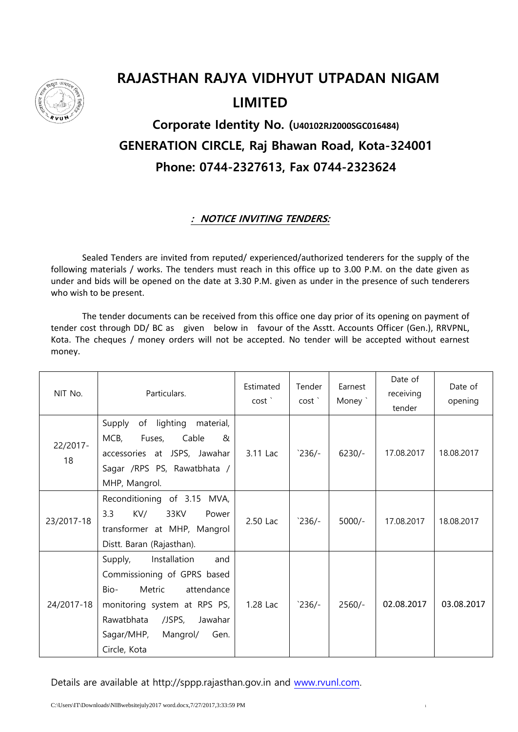

## **RAJASTHAN RAJYA VIDHYUT UTPADAN NIGAM LIMITED**

## **Corporate Identity No. (U40102RJ2000SGC016484) GENERATION CIRCLE, Raj Bhawan Road, Kota-324001 Phone: 0744-2327613, Fax 0744-2323624**

## **: NOTICE INVITING TENDERS:**

Sealed Tenders are invited from reputed/ experienced/authorized tenderers for the supply of the following materials / works. The tenders must reach in this office up to 3.00 P.M. on the date given as under and bids will be opened on the date at 3.30 P.M. given as under in the presence of such tenderers who wish to be present.

The tender documents can be received from this office one day prior of its opening on payment of tender cost through DD/ BC as given below in favour of the Asstt. Accounts Officer (Gen.), RRVPNL, Kota. The cheques / money orders will not be accepted. No tender will be accepted without earnest money.

| NIT No.        | Particulars.                                                                                                                                                                                                         | Estimated<br>cost' | Tender<br>cost' | Earnest<br>Money ` | Date of<br>receiving<br>tender | Date of<br>opening |
|----------------|----------------------------------------------------------------------------------------------------------------------------------------------------------------------------------------------------------------------|--------------------|-----------------|--------------------|--------------------------------|--------------------|
| 22/2017-<br>18 | Supply<br>of lighting<br>material,<br>$MCB$ ,<br>Fuses,<br>Cable<br>&<br>accessories at JSPS, Jawahar<br>Sagar /RPS PS, Rawatbhata /<br>MHP, Mangrol.                                                                | 3.11 Lac           | $236/-$         | $6230/-$           | 17.08.2017                     | 18.08.2017         |
| 23/2017-18     | Reconditioning of 3.15 MVA,<br>3.3<br>KV/<br>33KV<br>Power<br>transformer at MHP, Mangrol<br>Distt. Baran (Rajasthan).                                                                                               | 2.50 Lac           | $236/-$         | $5000/-$           | 17.08.2017                     | 18.08.2017         |
| 24/2017-18     | Installation<br>Supply,<br>and<br>Commissioning of GPRS based<br>$Bio-$<br>Metric<br>attendance<br>monitoring system at RPS PS,<br>Rawatbhata<br>/JSPS,<br>Jawahar<br>Sagar/MHP,<br>Mangrol/<br>Gen.<br>Circle, Kota | 1.28 Lac           | $236/-$         | $2560/-$           | 02.08.2017                     | 03.08.2017         |

Details are available at http://sppp.rajasthan.gov.in and [www.rvunl.com.](http://www.rvunl.com/)